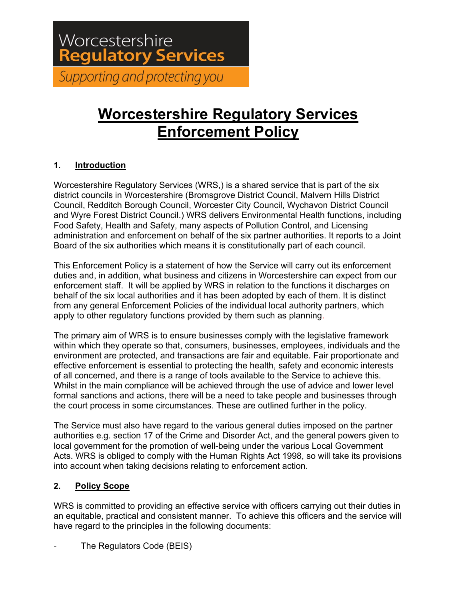# Worcestershire **Regulatory Services** Supporting and protecting you

# **Worcestershire Regulatory Services Enforcement Policy**

# **1. Introduction**

Worcestershire Regulatory Services (WRS,) is a shared service that is part of the six district councils in Worcestershire (Bromsgrove District Council, Malvern Hills District Council, Redditch Borough Council, Worcester City Council, Wychavon District Council and Wyre Forest District Council.) WRS delivers Environmental Health functions, including Food Safety, Health and Safety, many aspects of Pollution Control, and Licensing administration and enforcement on behalf of the six partner authorities. It reports to a Joint Board of the six authorities which means it is constitutionally part of each council.

This Enforcement Policy is a statement of how the Service will carry out its enforcement duties and, in addition, what business and citizens in Worcestershire can expect from our enforcement staff. It will be applied by WRS in relation to the functions it discharges on behalf of the six local authorities and it has been adopted by each of them. It is distinct from any general Enforcement Policies of the individual local authority partners, which apply to other regulatory functions provided by them such as planning.

The primary aim of WRS is to ensure businesses comply with the legislative framework within which they operate so that, consumers, businesses, employees, individuals and the environment are protected, and transactions are fair and equitable. Fair proportionate and effective enforcement is essential to protecting the health, safety and economic interests of all concerned, and there is a range of tools available to the Service to achieve this. Whilst in the main compliance will be achieved through the use of advice and lower level formal sanctions and actions, there will be a need to take people and businesses through the court process in some circumstances. These are outlined further in the policy.

The Service must also have regard to the various general duties imposed on the partner authorities e.g. section 17 of the Crime and Disorder Act, and the general powers given to local government for the promotion of well-being under the various Local Government Acts. WRS is obliged to comply with the Human Rights Act 1998, so will take its provisions into account when taking decisions relating to enforcement action.

# **2. Policy Scope**

WRS is committed to providing an effective service with officers carrying out their duties in an equitable, practical and consistent manner. To achieve this officers and the service will have regard to the principles in the following documents:

The Regulators Code (BEIS)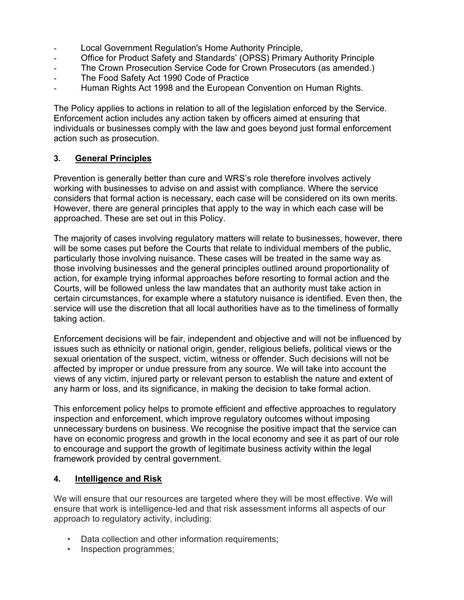- Local Government Regulation's Home Authority Principle,
- Office for Product Safety and Standards' (OPSS) Primary Authority Principle
- The Crown Prosecution Service Code for Crown Prosecutors (as amended.)
- The Food Safety Act 1990 Code of Practice
- Human Rights Act 1998 and the European Convention on Human Rights.

The Policy applies to actions in relation to all of the legislation enforced by the Service. Enforcement action includes any action taken by officers aimed at ensuring that individuals or businesses comply with the law and goes beyond just formal enforcement action such as prosecution.

# **3. General Principles**

Prevention is generally better than cure and WRS's role therefore involves actively working with businesses to advise on and assist with compliance. Where the service considers that formal action is necessary, each case will be considered on its own merits. However, there are general principles that apply to the way in which each case will be approached. These are set out in this Policy.

The majority of cases involving regulatory matters will relate to businesses, however, there will be some cases put before the Courts that relate to individual members of the public, particularly those involving nuisance. These cases will be treated in the same way as those involving businesses and the general principles outlined around proportionality of action, for example trying informal approaches before resorting to formal action and the Courts, will be followed unless the law mandates that an authority must take action in certain circumstances, for example where a statutory nuisance is identified. Even then, the service will use the discretion that all local authorities have as to the timeliness of formally taking action.

Enforcement decisions will be fair, independent and objective and will not be influenced by issues such as ethnicity or national origin, gender, religious beliefs, political views or the sexual orientation of the suspect, victim, witness or offender. Such decisions will not be affected by improper or undue pressure from any source. We will take into account the views of any victim, injured party or relevant person to establish the nature and extent of any harm or loss, and its significance, in making the decision to take formal action.

This enforcement policy helps to promote efficient and effective approaches to regulatory inspection and enforcement, which improve regulatory outcomes without imposing unnecessary burdens on business. We recognise the positive impact that the service can have on economic progress and growth in the local economy and see it as part of our role to encourage and support the growth of legitimate business activity within the legal framework provided by central government.

#### **4. Intelligence and Risk**

We will ensure that our resources are targeted where they will be most effective. We will ensure that work is intelligence-led and that risk assessment informs all aspects of our approach to regulatory activity, including:

- Data collection and other information requirements;
- Inspection programmes;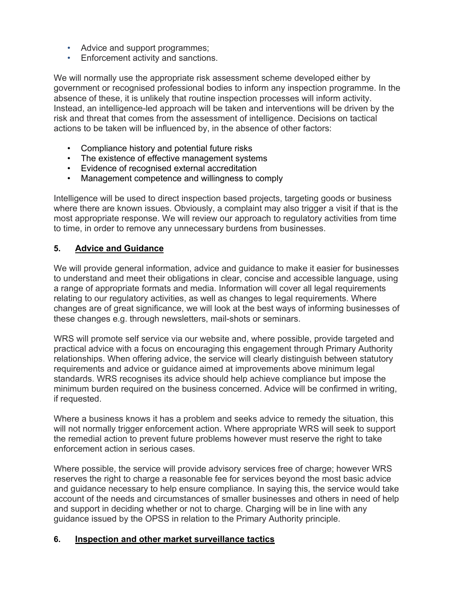- Advice and support programmes;
- Enforcement activity and sanctions.

We will normally use the appropriate risk assessment scheme developed either by government or recognised professional bodies to inform any inspection programme. In the absence of these, it is unlikely that routine inspection processes will inform activity. Instead, an intelligence-led approach will be taken and interventions will be driven by the risk and threat that comes from the assessment of intelligence. Decisions on tactical actions to be taken will be influenced by, in the absence of other factors:

- Compliance history and potential future risks
- The existence of effective management systems
- Evidence of recognised external accreditation
- Management competence and willingness to comply

Intelligence will be used to direct inspection based projects, targeting goods or business where there are known issues. Obviously, a complaint may also trigger a visit if that is the most appropriate response. We will review our approach to regulatory activities from time to time, in order to remove any unnecessary burdens from businesses.

## **5. Advice and Guidance**

We will provide general information, advice and guidance to make it easier for businesses to understand and meet their obligations in clear, concise and accessible language, using a range of appropriate formats and media. Information will cover all legal requirements relating to our regulatory activities, as well as changes to legal requirements. Where changes are of great significance, we will look at the best ways of informing businesses of these changes e.g. through newsletters, mail-shots or seminars.

WRS will promote self service via our website and, where possible, provide targeted and practical advice with a focus on encouraging this engagement through Primary Authority relationships. When offering advice, the service will clearly distinguish between statutory requirements and advice or guidance aimed at improvements above minimum legal standards. WRS recognises its advice should help achieve compliance but impose the minimum burden required on the business concerned. Advice will be confirmed in writing, if requested.

Where a business knows it has a problem and seeks advice to remedy the situation, this will not normally trigger enforcement action. Where appropriate WRS will seek to support the remedial action to prevent future problems however must reserve the right to take enforcement action in serious cases.

Where possible, the service will provide advisory services free of charge; however WRS reserves the right to charge a reasonable fee for services beyond the most basic advice and guidance necessary to help ensure compliance. In saying this, the service would take account of the needs and circumstances of smaller businesses and others in need of help and support in deciding whether or not to charge. Charging will be in line with any guidance issued by the OPSS in relation to the Primary Authority principle.

#### **6. Inspection and other market surveillance tactics**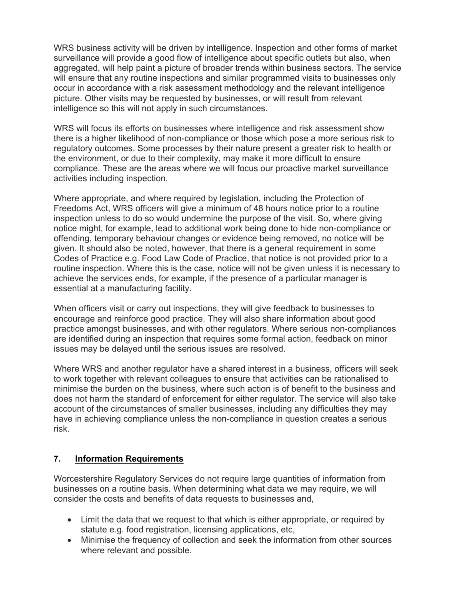WRS business activity will be driven by intelligence. Inspection and other forms of market surveillance will provide a good flow of intelligence about specific outlets but also, when aggregated, will help paint a picture of broader trends within business sectors. The service will ensure that any routine inspections and similar programmed visits to businesses only occur in accordance with a risk assessment methodology and the relevant intelligence picture. Other visits may be requested by businesses, or will result from relevant intelligence so this will not apply in such circumstances.

WRS will focus its efforts on businesses where intelligence and risk assessment show there is a higher likelihood of non-compliance or those which pose a more serious risk to regulatory outcomes. Some processes by their nature present a greater risk to health or the environment, or due to their complexity, may make it more difficult to ensure compliance. These are the areas where we will focus our proactive market surveillance activities including inspection.

Where appropriate, and where required by legislation, including the Protection of Freedoms Act, WRS officers will give a minimum of 48 hours notice prior to a routine inspection unless to do so would undermine the purpose of the visit. So, where giving notice might, for example, lead to additional work being done to hide non-compliance or offending, temporary behaviour changes or evidence being removed, no notice will be given. It should also be noted, however, that there is a general requirement in some Codes of Practice e.g. Food Law Code of Practice, that notice is not provided prior to a routine inspection. Where this is the case, notice will not be given unless it is necessary to achieve the services ends, for example, if the presence of a particular manager is essential at a manufacturing facility.

When officers visit or carry out inspections, they will give feedback to businesses to encourage and reinforce good practice. They will also share information about good practice amongst businesses, and with other regulators. Where serious non-compliances are identified during an inspection that requires some formal action, feedback on minor issues may be delayed until the serious issues are resolved.

Where WRS and another regulator have a shared interest in a business, officers will seek to work together with relevant colleagues to ensure that activities can be rationalised to minimise the burden on the business, where such action is of benefit to the business and does not harm the standard of enforcement for either regulator. The service will also take account of the circumstances of smaller businesses, including any difficulties they may have in achieving compliance unless the non-compliance in question creates a serious risk.

#### **7. Information Requirements**

Worcestershire Regulatory Services do not require large quantities of information from businesses on a routine basis. When determining what data we may require, we will consider the costs and benefits of data requests to businesses and,

- Limit the data that we request to that which is either appropriate, or required by statute e.g. food registration, licensing applications, etc,
- Minimise the frequency of collection and seek the information from other sources where relevant and possible.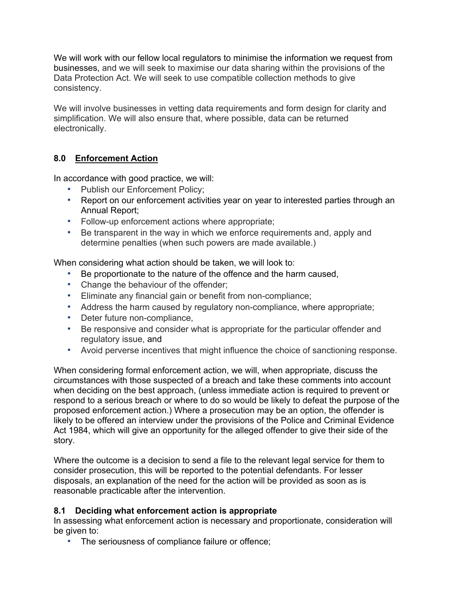We will work with our fellow local regulators to minimise the information we request from businesses, and we will seek to maximise our data sharing within the provisions of the Data Protection Act. We will seek to use compatible collection methods to give consistency.

We will involve businesses in vetting data requirements and form design for clarity and simplification. We will also ensure that, where possible, data can be returned electronically.

## **8.0 Enforcement Action**

In accordance with good practice, we will:

- Publish our Enforcement Policy;
- Report on our enforcement activities year on year to interested parties through an Annual Report;
- Follow-up enforcement actions where appropriate;
- Be transparent in the way in which we enforce requirements and, apply and determine penalties (when such powers are made available.)

When considering what action should be taken, we will look to:

- Be proportionate to the nature of the offence and the harm caused,
- Change the behaviour of the offender;
- Eliminate any financial gain or benefit from non-compliance;
- Address the harm caused by regulatory non-compliance, where appropriate;
- Deter future non-compliance,
- Be responsive and consider what is appropriate for the particular offender and regulatory issue, and
- Avoid perverse incentives that might influence the choice of sanctioning response.

When considering formal enforcement action, we will, when appropriate, discuss the circumstances with those suspected of a breach and take these comments into account when deciding on the best approach, (unless immediate action is required to prevent or respond to a serious breach or where to do so would be likely to defeat the purpose of the proposed enforcement action.) Where a prosecution may be an option, the offender is likely to be offered an interview under the provisions of the Police and Criminal Evidence Act 1984, which will give an opportunity for the alleged offender to give their side of the story.

Where the outcome is a decision to send a file to the relevant legal service for them to consider prosecution, this will be reported to the potential defendants. For lesser disposals, an explanation of the need for the action will be provided as soon as is reasonable practicable after the intervention.

#### **8.1 Deciding what enforcement action is appropriate**

In assessing what enforcement action is necessary and proportionate, consideration will be given to:

• The seriousness of compliance failure or offence;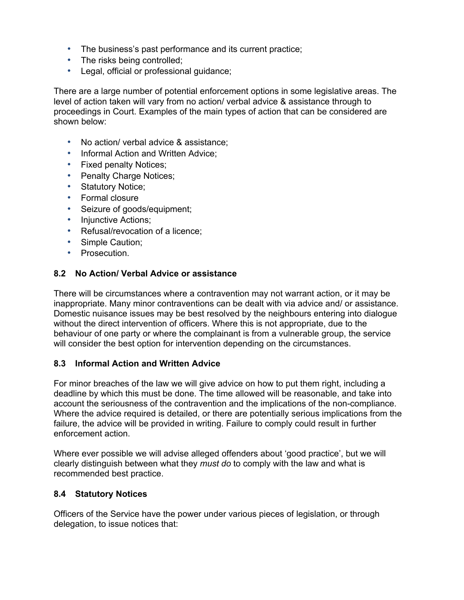- The business's past performance and its current practice;
- The risks being controlled;
- Legal, official or professional guidance;

There are a large number of potential enforcement options in some legislative areas. The level of action taken will vary from no action/ verbal advice & assistance through to proceedings in Court. Examples of the main types of action that can be considered are shown below:

- No action/ verbal advice & assistance;
- Informal Action and Written Advice;
- Fixed penalty Notices;
- Penalty Charge Notices;
- Statutory Notice;
- Formal closure
- Seizure of goods/equipment;
- Injunctive Actions;
- Refusal/revocation of a licence;
- Simple Caution;
- Prosecution.

#### **8.2 No Action/ Verbal Advice or assistance**

There will be circumstances where a contravention may not warrant action, or it may be inappropriate. Many minor contraventions can be dealt with via advice and/ or assistance. Domestic nuisance issues may be best resolved by the neighbours entering into dialogue without the direct intervention of officers. Where this is not appropriate, due to the behaviour of one party or where the complainant is from a vulnerable group, the service will consider the best option for intervention depending on the circumstances.

#### **8.3 Informal Action and Written Advice**

For minor breaches of the law we will give advice on how to put them right, including a deadline by which this must be done. The time allowed will be reasonable, and take into account the seriousness of the contravention and the implications of the non-compliance. Where the advice required is detailed, or there are potentially serious implications from the failure, the advice will be provided in writing. Failure to comply could result in further enforcement action.

Where ever possible we will advise alleged offenders about 'good practice', but we will clearly distinguish between what they *must do* to comply with the law and what is recommended best practice.

#### **8.4 Statutory Notices**

Officers of the Service have the power under various pieces of legislation, or through delegation, to issue notices that: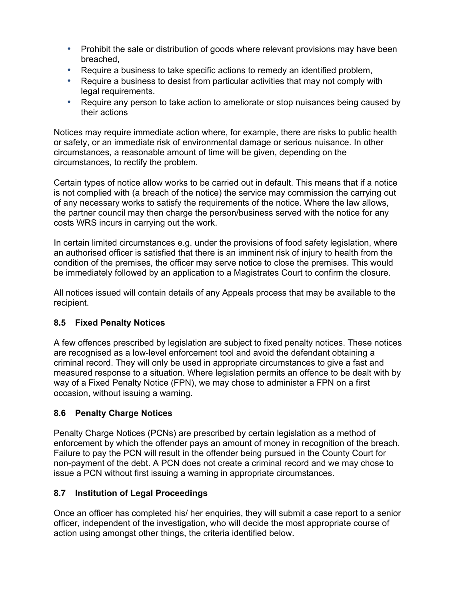- Prohibit the sale or distribution of goods where relevant provisions may have been breached,
- Require a business to take specific actions to remedy an identified problem,
- Require a business to desist from particular activities that may not comply with legal requirements.
- Require any person to take action to ameliorate or stop nuisances being caused by their actions

Notices may require immediate action where, for example, there are risks to public health or safety, or an immediate risk of environmental damage or serious nuisance. In other circumstances, a reasonable amount of time will be given, depending on the circumstances, to rectify the problem.

Certain types of notice allow works to be carried out in default. This means that if a notice is not complied with (a breach of the notice) the service may commission the carrying out of any necessary works to satisfy the requirements of the notice. Where the law allows, the partner council may then charge the person/business served with the notice for any costs WRS incurs in carrying out the work.

In certain limited circumstances e.g. under the provisions of food safety legislation, where an authorised officer is satisfied that there is an imminent risk of injury to health from the condition of the premises, the officer may serve notice to close the premises. This would be immediately followed by an application to a Magistrates Court to confirm the closure.

All notices issued will contain details of any Appeals process that may be available to the recipient.

# **8.5 Fixed Penalty Notices**

A few offences prescribed by legislation are subject to fixed penalty notices. These notices are recognised as a low-level enforcement tool and avoid the defendant obtaining a criminal record. They will only be used in appropriate circumstances to give a fast and measured response to a situation. Where legislation permits an offence to be dealt with by way of a Fixed Penalty Notice (FPN), we may chose to administer a FPN on a first occasion, without issuing a warning.

#### **8.6 Penalty Charge Notices**

Penalty Charge Notices (PCNs) are prescribed by certain legislation as a method of enforcement by which the offender pays an amount of money in recognition of the breach. Failure to pay the PCN will result in the offender being pursued in the County Court for non-payment of the debt. A PCN does not create a criminal record and we may chose to issue a PCN without first issuing a warning in appropriate circumstances.

#### **8.7 Institution of Legal Proceedings**

Once an officer has completed his/ her enquiries, they will submit a case report to a senior officer, independent of the investigation, who will decide the most appropriate course of action using amongst other things, the criteria identified below.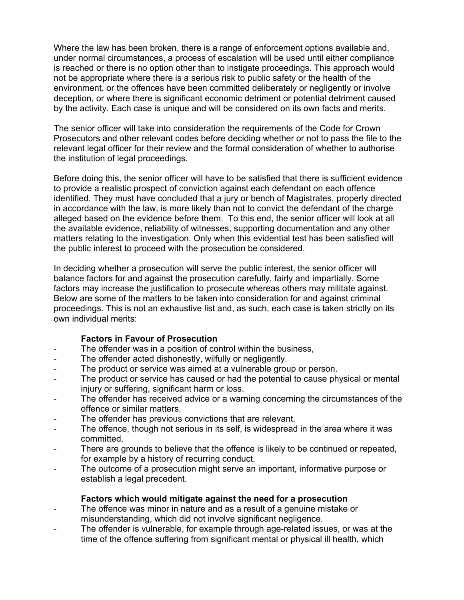Where the law has been broken, there is a range of enforcement options available and, under normal circumstances, a process of escalation will be used until either compliance is reached or there is no option other than to instigate proceedings. This approach would not be appropriate where there is a serious risk to public safety or the health of the environment, or the offences have been committed deliberately or negligently or involve deception, or where there is significant economic detriment or potential detriment caused by the activity. Each case is unique and will be considered on its own facts and merits.

The senior officer will take into consideration the requirements of the Code for Crown Prosecutors and other relevant codes before deciding whether or not to pass the file to the relevant legal officer for their review and the formal consideration of whether to authorise the institution of legal proceedings.

Before doing this, the senior officer will have to be satisfied that there is sufficient evidence to provide a realistic prospect of conviction against each defendant on each offence identified. They must have concluded that a jury or bench of Magistrates, properly directed in accordance with the law, is more likely than not to convict the defendant of the charge alleged based on the evidence before them. To this end, the senior officer will look at all the available evidence, reliability of witnesses, supporting documentation and any other matters relating to the investigation. Only when this evidential test has been satisfied will the public interest to proceed with the prosecution be considered.

In deciding whether a prosecution will serve the public interest, the senior officer will balance factors for and against the prosecution carefully, fairly and impartially. Some factors may increase the justification to prosecute whereas others may militate against. Below are some of the matters to be taken into consideration for and against criminal proceedings. This is not an exhaustive list and, as such, each case is taken strictly on its own individual merits:

#### **Factors in Favour of Prosecution**

- The offender was in a position of control within the business,
- The offender acted dishonestly, wilfully or negligently.
- The product or service was aimed at a vulnerable group or person.
- The product or service has caused or had the potential to cause physical or mental injury or suffering, significant harm or loss.
- The offender has received advice or a warning concerning the circumstances of the offence or similar matters.
- The offender has previous convictions that are relevant.
- The offence, though not serious in its self, is widespread in the area where it was committed.
- There are grounds to believe that the offence is likely to be continued or repeated, for example by a history of recurring conduct.
- The outcome of a prosecution might serve an important, informative purpose or establish a legal precedent.

#### **Factors which would mitigate against the need for a prosecution**

- The offence was minor in nature and as a result of a genuine mistake or misunderstanding, which did not involve significant negligence.
- The offender is vulnerable, for example through age-related issues, or was at the time of the offence suffering from significant mental or physical ill health, which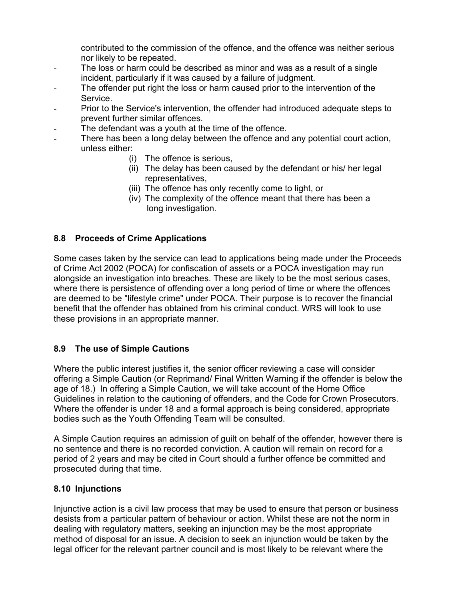contributed to the commission of the offence, and the offence was neither serious nor likely to be repeated.

- The loss or harm could be described as minor and was as a result of a single incident, particularly if it was caused by a failure of judgment.
- The offender put right the loss or harm caused prior to the intervention of the Service.
- Prior to the Service's intervention, the offender had introduced adequate steps to prevent further similar offences.
- The defendant was a youth at the time of the offence.
- There has been a long delay between the offence and any potential court action, unless either:
	- (i) The offence is serious,
	- (ii) The delay has been caused by the defendant or his/ her legal representatives,
	- (iii) The offence has only recently come to light, or
	- (iv) The complexity of the offence meant that there has been a long investigation.

## **8.8 Proceeds of Crime Applications**

Some cases taken by the service can lead to applications being made under the Proceeds of Crime Act 2002 (POCA) for confiscation of assets or a POCA investigation may run alongside an investigation into breaches. These are likely to be the most serious cases, where there is persistence of offending over a long period of time or where the offences are deemed to be "lifestyle crime" under POCA. Their purpose is to recover the financial benefit that the offender has obtained from his criminal conduct. WRS will look to use these provisions in an appropriate manner.

#### **8.9 The use of Simple Cautions**

Where the public interest justifies it, the senior officer reviewing a case will consider offering a Simple Caution (or Reprimand/ Final Written Warning if the offender is below the age of 18.) In offering a Simple Caution, we will take account of the Home Office Guidelines in relation to the cautioning of offenders, and the Code for Crown Prosecutors. Where the offender is under 18 and a formal approach is being considered, appropriate bodies such as the Youth Offending Team will be consulted.

A Simple Caution requires an admission of guilt on behalf of the offender, however there is no sentence and there is no recorded conviction. A caution will remain on record for a period of 2 years and may be cited in Court should a further offence be committed and prosecuted during that time.

#### **8.10 Injunctions**

Injunctive action is a civil law process that may be used to ensure that person or business desists from a particular pattern of behaviour or action. Whilst these are not the norm in dealing with regulatory matters, seeking an injunction may be the most appropriate method of disposal for an issue. A decision to seek an injunction would be taken by the legal officer for the relevant partner council and is most likely to be relevant where the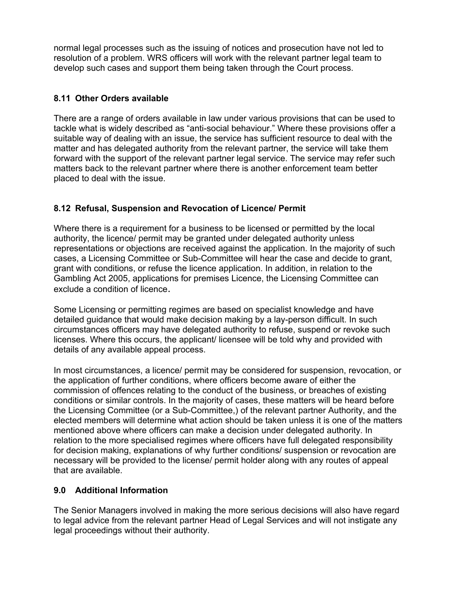normal legal processes such as the issuing of notices and prosecution have not led to resolution of a problem. WRS officers will work with the relevant partner legal team to develop such cases and support them being taken through the Court process.

### **8.11 Other Orders available**

There are a range of orders available in law under various provisions that can be used to tackle what is widely described as "anti-social behaviour." Where these provisions offer a suitable way of dealing with an issue, the service has sufficient resource to deal with the matter and has delegated authority from the relevant partner, the service will take them forward with the support of the relevant partner legal service. The service may refer such matters back to the relevant partner where there is another enforcement team better placed to deal with the issue.

# **8.12 Refusal, Suspension and Revocation of Licence/ Permit**

Where there is a requirement for a business to be licensed or permitted by the local authority, the licence/ permit may be granted under delegated authority unless representations or objections are received against the application. In the majority of such cases, a Licensing Committee or Sub-Committee will hear the case and decide to grant, grant with conditions, or refuse the licence application. In addition, in relation to the Gambling Act 2005, applications for premises Licence, the Licensing Committee can exclude a condition of licence.

Some Licensing or permitting regimes are based on specialist knowledge and have detailed guidance that would make decision making by a lay-person difficult. In such circumstances officers may have delegated authority to refuse, suspend or revoke such licenses. Where this occurs, the applicant/ licensee will be told why and provided with details of any available appeal process.

In most circumstances, a licence/ permit may be considered for suspension, revocation, or the application of further conditions, where officers become aware of either the commission of offences relating to the conduct of the business, or breaches of existing conditions or similar controls. In the majority of cases, these matters will be heard before the Licensing Committee (or a Sub-Committee,) of the relevant partner Authority, and the elected members will determine what action should be taken unless it is one of the matters mentioned above where officers can make a decision under delegated authority. In relation to the more specialised regimes where officers have full delegated responsibility for decision making, explanations of why further conditions/ suspension or revocation are necessary will be provided to the license/ permit holder along with any routes of appeal that are available.

#### **9.0 Additional Information**

The Senior Managers involved in making the more serious decisions will also have regard to legal advice from the relevant partner Head of Legal Services and will not instigate any legal proceedings without their authority.